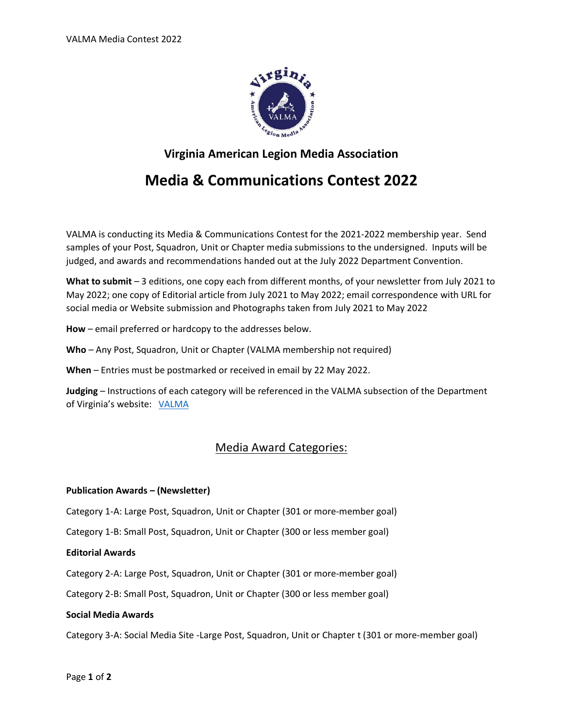

# **Virginia American Legion Media Association**

# **Media & Communications Contest 2022**

VALMA is conducting its Media & Communications Contest for the 2021-2022 membership year. Send samples of your Post, Squadron, Unit or Chapter media submissions to the undersigned. Inputs will be judged, and awards and recommendations handed out at the July 2022 Department Convention.

**What to submit** – 3 editions, one copy each from different months, of your newsletter from July 2021 to May 2022; one copy of Editorial article from July 2021 to May 2022; email correspondence with URL for social media or Website submission and Photographs taken from July 2021 to May 2022

**How** – email preferred or hardcopy to the addresses below.

**Who** – Any Post, Squadron, Unit or Chapter (VALMA membership not required)

**When** – Entries must be postmarked or received in email by 22 May 2022.

**Judging** – Instructions of each category will be referenced in the VALMA subsection of the Department of Virginia's website: [VALMA](http://valegion.org/?page_id=411)

# Media Award Categories:

## **Publication Awards – (Newsletter)**

Category 1-A: Large Post, Squadron, Unit or Chapter (301 or more-member goal)

Category 1-B: Small Post, Squadron, Unit or Chapter (300 or less member goal)

## **Editorial Awards**

Category 2-A: Large Post, Squadron, Unit or Chapter (301 or more-member goal)

Category 2-B: Small Post, Squadron, Unit or Chapter (300 or less member goal)

#### **Social Media Awards**

Category 3-A: Social Media Site -Large Post, Squadron, Unit or Chapter t (301 or more-member goal)